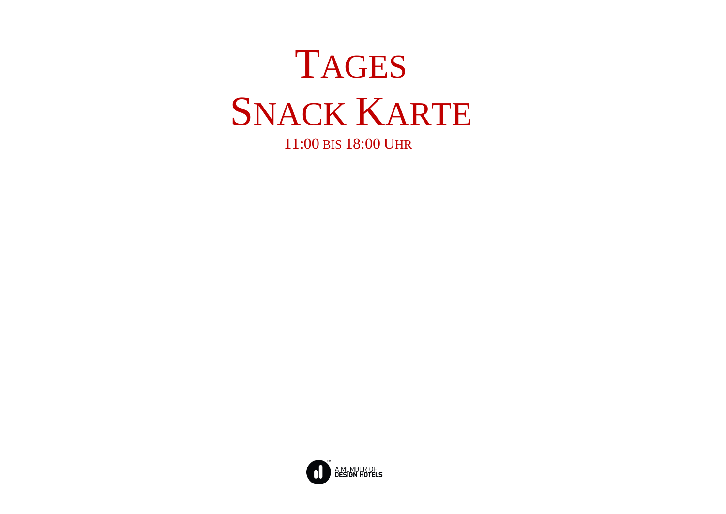

11:00 BIS 18:00 UHR

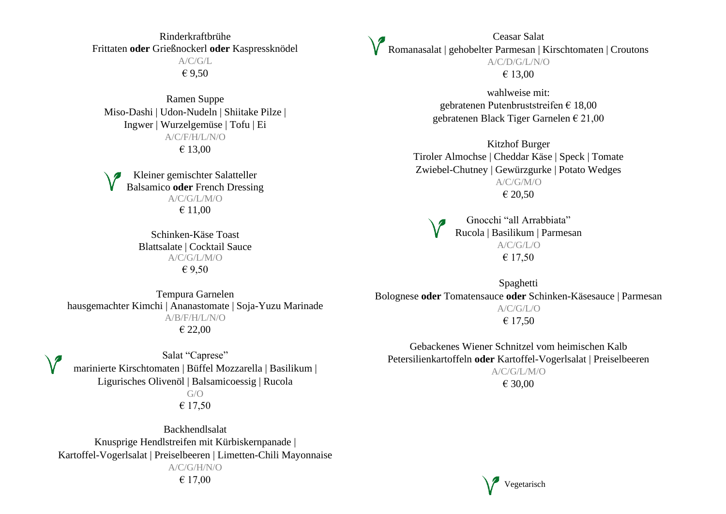Rinderkraftbrühe Frittaten **oder** Grießnockerl **oder** Kaspressknödel  $A/C/G/L$ € 9,50

Ramen Suppe Miso-Dashi | Udon-Nudeln | Shiitake Pilze | Ingwer | Wurzelgemüse | Tofu | Ei A/C/F/H/L/N/O € 13,00

Kleiner gemischter Salatteller Balsamico **oder** French Dressing A/C/G/L/M/O € 11,00

> Schinken-Käse Toast Blattsalate | Cocktail Sauce A/C/G/L/M/O € 9,50

Ceasar Salat Romanasalat | gehobelter Parmesan | Kirschtomaten | Croutons A/C/D/G/L/N/O € 13,00

> wahlweise mit: gebratenen Putenbruststreifen € 18,00 gebratenen Black Tiger Garnelen € 21,00

Kitzhof Burger Tiroler Almochse | Cheddar Käse | Speck | Tomate Zwiebel-Chutney | Gewürzgurke | Potato Wedges A/C/G/M/O € 20,50

Gnocchi "all Arrabbiata" Rucola | Basilikum | Parmesan A/C/G/L/O € 17,50

Tempura Garnelen hausgemachter Kimchi | Ananastomate | Soja-Yuzu Marinade A/B/F/H/L/N/O € 22,00

Salat "Caprese" marinierte Kirschtomaten | Büffel Mozzarella | Basilikum | Ligurisches Olivenöl | Balsamicoessig | Rucola  $G/O$ € 17,50

Backhendlsalat Knusprige Hendlstreifen mit Kürbiskernpanade | Kartoffel-Vogerlsalat | Preiselbeeren | Limetten-Chili Mayonnaise A/C/G/H/N/O € 17,00

Spaghetti Bolognese **oder** Tomatensauce **oder** Schinken-Käsesauce | Parmesan A/C/G/L/O € 17,50

Gebackenes Wiener Schnitzel vom heimischen Kalb Petersilienkartoffeln **oder** Kartoffel-Vogerlsalat | Preiselbeeren A/C/G/L/M/O € 30,00

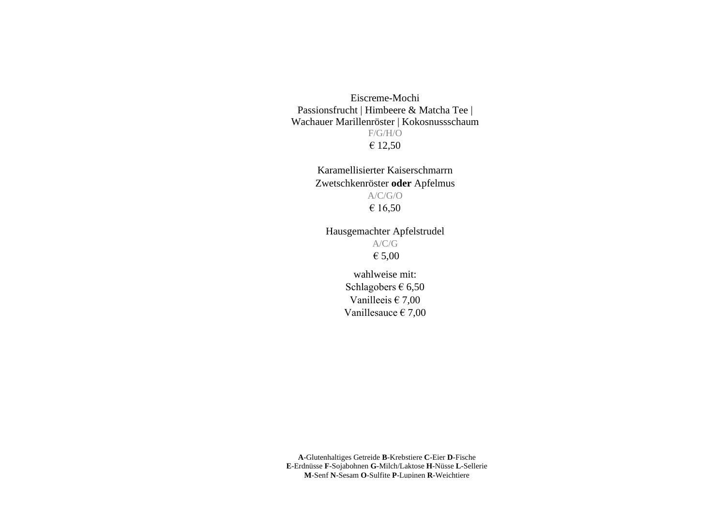Eiscreme-Mochi Passionsfrucht | Himbeere & Matcha Tee | Wachauer Marillenröster | Kokosnussschaum F/G/H/O € 12,50

> Karamellisierter Kaiserschmarrn Zwetschkenröster **oder** Apfelmus A/C/G/O € 16,50

Hausgemachter Apfelstrudel A/C/G

€ 5,00

wahlweise mit: Schlagobers  $\epsilon$  6,50 Vanilleeis  $\epsilon$  7,00 Vanillesauce € 7,00

**A**-Glutenhaltiges Getreide **B**-Krebstiere **C**-Eier **D**-Fische **E**-Erdnüsse **F**-Sojabohnen **G**-Milch/Laktose **H**-Nüsse **L**-Sellerie **M**-Senf **N**-Sesam **O**-Sulfite **P**-Lupinen **R**-Weichtiere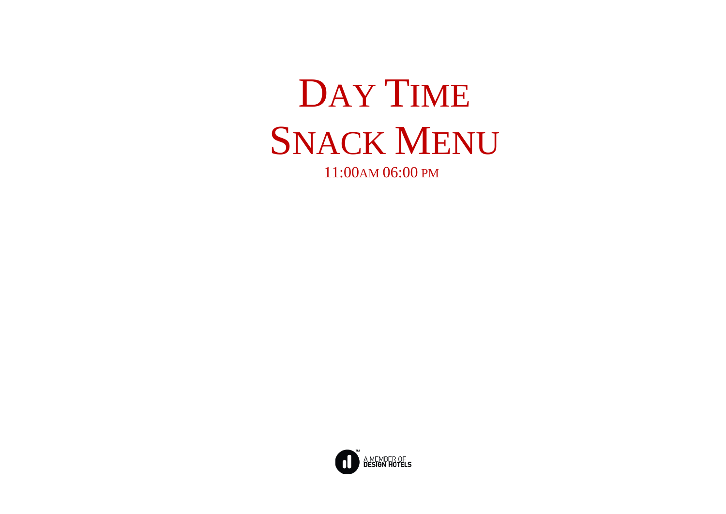

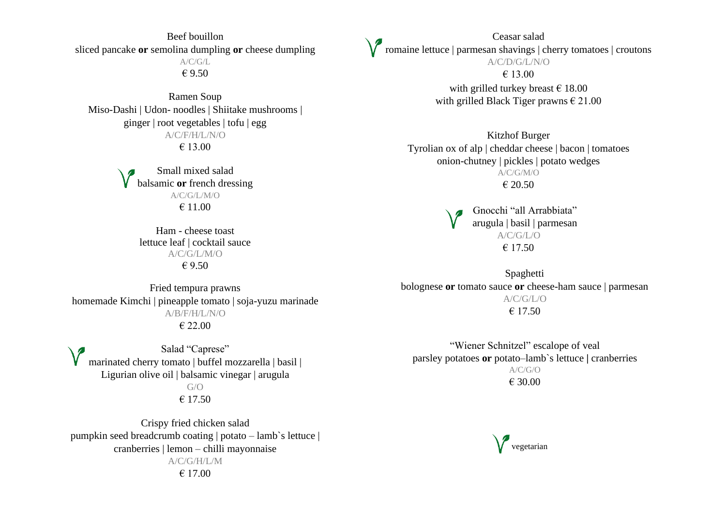Beef bouillon sliced pancake **or** semolina dumpling **or** cheese dumpling A/C/G/L € 9.50

Ramen Soup Miso-Dashi | Udon- noodles | Shiitake mushrooms | ginger | root vegetables | tofu | egg A/C/F/H/L/N/O € 13.00

> Small mixed salad balsamic **or** french dressing A/C/G/L/M/O € 11.00

Ham - cheese toast lettuce leaf | cocktail sauce A/C/G/L/M/O € 9.50

Fried tempura prawns homemade Kimchi | pineapple tomato | soja-yuzu marinade A/B/F/H/L/N/O € 22.00

Salad "Caprese" marinated cherry tomato | buffel mozzarella | basil | Ligurian olive oil | balsamic vinegar | arugula  $G/O$ € 17.50

Crispy fried chicken salad pumpkin seed breadcrumb coating | potato – lamb`s lettuce | cranberries | lemon – chilli mayonnaise A/C/G/H/L/M € 17.00

Ceasar salad romaine lettuce | parmesan shavings | cherry tomatoes | croutons A/C/D/G/L/N/O € 13.00 with grilled turkey breast  $\epsilon$  18.00 with grilled Black Tiger prawns  $\epsilon$  21.00

> Kitzhof Burger Tyrolian ox of alp | cheddar cheese | bacon | tomatoes onion-chutney | pickles | potato wedges A/C/G/M/O € 20.50

> > Gnocchi "all Arrabbiata" arugula | basil | parmesan A/C/G/L/O € 17.50

Spaghetti bolognese **or** tomato sauce **or** cheese-ham sauce | parmesan A/C/G/L/O  $€ 17.50$ 

"Wiener Schnitzel" escalope of veal parsley potatoes **or** potato–lamb`s lettuce **|** cranberries A/C/G/O € 30.00